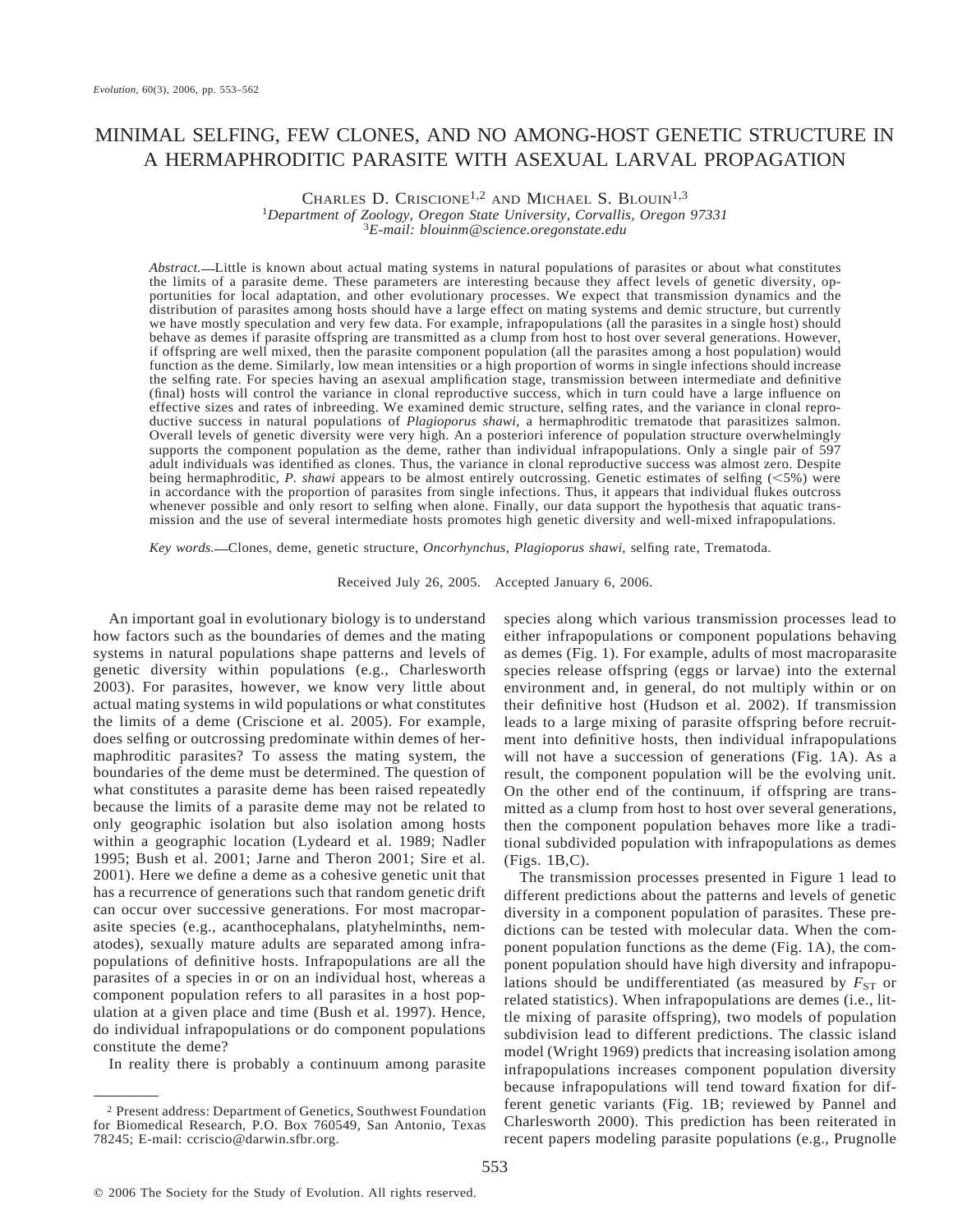# MINIMAL SELFING, FEW CLONES, AND NO AMONG-HOST GENETIC STRUCTURE IN A HERMAPHRODITIC PARASITE WITH ASEXUAL LARVAL PROPAGATION

CHARLES D. CRISCIONE<sup>1,2</sup> AND MICHAEL S. BLOUIN<sup>1,3</sup>

<sup>1</sup>*Department of Zoology, Oregon State University, Corvallis, Oregon 97331* <sup>3</sup>*E-mail: blouinm@science.oregonstate.edu*

*Abstract.* Little is known about actual mating systems in natural populations of parasites or about what constitutes the limits of a parasite deme. These parameters are interesting because they affect levels of genetic diversity, opportunities for local adaptation, and other evolutionary processes. We expect that transmission dynamics and the distribution of parasites among hosts should have a large effect on mating systems and demic structure, but currently we have mostly speculation and very few data. For example, infrapopulations (all the parasites in a single host) should behave as demes if parasite offspring are transmitted as a clump from host to host over several generations. However, if offspring are well mixed, then the parasite component population (all the parasites among a host population) would function as the deme. Similarly, low mean intensities or a high proportion of worms in single infections should increase the selfing rate. For species having an asexual amplification stage, transmission between intermediate and definitive (final) hosts will control the variance in clonal reproductive success, which in turn could have a large influence on effective sizes and rates of inbreeding. We examined demic structure, selfing rates, and the variance in clonal reproductive success in natural populations of *Plagioporus shawi*, a hermaphroditic trematode that parasitizes salmon. Overall levels of genetic diversity were very high. An a posteriori inference of population structure overwhelmingly supports the component population as the deme, rather than individual infrapopulations. Only a single pair of 597 adult individuals was identified as clones. Thus, the variance in clonal reproductive success was almost zero. Despite being hermaphroditic, *P. shawi* appears to be almost entirely outcrossing. Genetic estimates of selfing (<5%) were in accordance with the proportion of parasites from single infections. Thus, it appears that individual flukes outcross whenever possible and only resort to selfing when alone. Finally, our data support the hypothesis that aquatic transmission and the use of several intermediate hosts promotes high genetic diversity and well-mixed infrapopulations.

*Key words.* Clones, deme, genetic structure, *Oncorhynchus*, *Plagioporus shawi*, selfing rate, Trematoda.

Received July 26, 2005. Accepted January 6, 2006.

An important goal in evolutionary biology is to understand how factors such as the boundaries of demes and the mating systems in natural populations shape patterns and levels of genetic diversity within populations (e.g., Charlesworth 2003). For parasites, however, we know very little about actual mating systems in wild populations or what constitutes the limits of a deme (Criscione et al. 2005). For example, does selfing or outcrossing predominate within demes of hermaphroditic parasites? To assess the mating system, the boundaries of the deme must be determined. The question of what constitutes a parasite deme has been raised repeatedly because the limits of a parasite deme may not be related to only geographic isolation but also isolation among hosts within a geographic location (Lydeard et al. 1989; Nadler 1995; Bush et al. 2001; Jarne and Theron 2001; Sire et al. 2001). Here we define a deme as a cohesive genetic unit that has a recurrence of generations such that random genetic drift can occur over successive generations. For most macroparasite species (e.g., acanthocephalans, platyhelminths, nematodes), sexually mature adults are separated among infrapopulations of definitive hosts. Infrapopulations are all the parasites of a species in or on an individual host, whereas a component population refers to all parasites in a host population at a given place and time (Bush et al. 1997). Hence, do individual infrapopulations or do component populations constitute the deme?

In reality there is probably a continuum among parasite

species along which various transmission processes lead to either infrapopulations or component populations behaving as demes (Fig. 1). For example, adults of most macroparasite species release offspring (eggs or larvae) into the external environment and, in general, do not multiply within or on their definitive host (Hudson et al. 2002). If transmission leads to a large mixing of parasite offspring before recruitment into definitive hosts, then individual infrapopulations will not have a succession of generations (Fig. 1A). As a result, the component population will be the evolving unit. On the other end of the continuum, if offspring are transmitted as a clump from host to host over several generations, then the component population behaves more like a traditional subdivided population with infrapopulations as demes (Figs. 1B,C).

The transmission processes presented in Figure 1 lead to different predictions about the patterns and levels of genetic diversity in a component population of parasites. These predictions can be tested with molecular data. When the component population functions as the deme (Fig. 1A), the component population should have high diversity and infrapopulations should be undifferentiated (as measured by  $F_{ST}$  or related statistics). When infrapopulations are demes (i.e., little mixing of parasite offspring), two models of population subdivision lead to different predictions. The classic island model (Wright 1969) predicts that increasing isolation among infrapopulations increases component population diversity because infrapopulations will tend toward fixation for different genetic variants (Fig. 1B; reviewed by Pannel and Charlesworth 2000). This prediction has been reiterated in recent papers modeling parasite populations (e.g., Prugnolle

<sup>2</sup> Present address: Department of Genetics, Southwest Foundation for Biomedical Research, P.O. Box 760549, San Antonio, Texas 78245; E-mail: ccriscio@darwin.sfbr.org.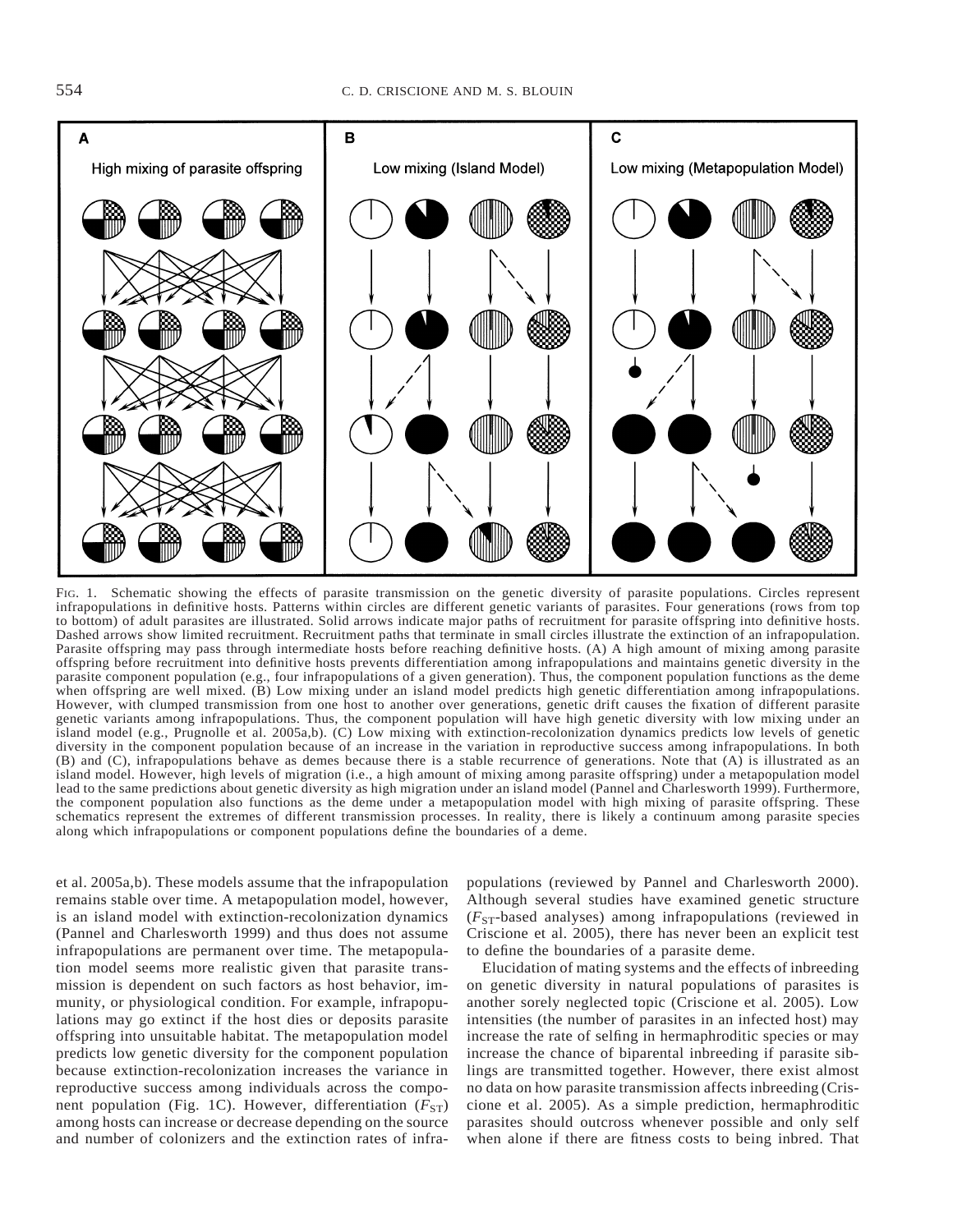

FIG. 1. Schematic showing the effects of parasite transmission on the genetic diversity of parasite populations. Circles represent infrapopulations in definitive hosts. Patterns within circles are different genetic variants of parasites. Four generations (rows from top to bottom) of adult parasites are illustrated. Solid arrows indicate major paths of recruitment for parasite offspring into definitive hosts. Dashed arrows show limited recruitment. Recruitment paths that terminate in small circles illustrate the extinction of an infrapopulation. Parasite offspring may pass through intermediate hosts before reaching definitive hosts. (A) A high amount of mixing among parasite offspring before recruitment into definitive hosts prevents differentiation among infrapopulations and maintains genetic diversity in the parasite component population (e.g., four infrapopulations of a given generation). Thus, the component population functions as the deme when offspring are well mixed. (B) Low mixing under an island model predicts high genetic differentiation among infrapopulations. However, with clumped transmission from one host to another over generations, genetic drift causes the fixation of different parasite genetic variants among infrapopulations. Thus, the component population will have high genetic diversity with low mixing under an island model (e.g., Prugnolle et al. 2005a,b). (C) Low mixing with extinction-recolonization dynamics predicts low levels of genetic diversity in the component population because of an increase in the variation in reproductive success among infrapopulations. In both (B) and (C), infrapopulations behave as demes because there is a stable recurrence of generations. Note that (A) is illustrated as an island model. However, high levels of migration (i.e., a high amount of mixing among parasite offspring) under a metapopulation model lead to the same predictions about genetic diversity as high migration under an island model (Pannel and Charlesworth 1999). Furthermore, the component population also functions as the deme under a metapopulation model with high mixing of parasite offspring. These schematics represent the extremes of different transmission processes. In reality, there is likely a continuum among parasite species along which infrapopulations or component populations define the boundaries of a deme.

et al. 2005a,b). These models assume that the infrapopulation remains stable over time. A metapopulation model, however, is an island model with extinction-recolonization dynamics (Pannel and Charlesworth 1999) and thus does not assume infrapopulations are permanent over time. The metapopulation model seems more realistic given that parasite transmission is dependent on such factors as host behavior, immunity, or physiological condition. For example, infrapopulations may go extinct if the host dies or deposits parasite offspring into unsuitable habitat. The metapopulation model predicts low genetic diversity for the component population because extinction-recolonization increases the variance in reproductive success among individuals across the component population (Fig. 1C). However, differentiation ( $F_{ST}$ ) among hosts can increase or decrease depending on the source and number of colonizers and the extinction rates of infrapopulations (reviewed by Pannel and Charlesworth 2000). Although several studies have examined genetic structure ( $F<sub>ST</sub>$ -based analyses) among infrapopulations (reviewed in Criscione et al. 2005), there has never been an explicit test to define the boundaries of a parasite deme.

Elucidation of mating systems and the effects of inbreeding on genetic diversity in natural populations of parasites is another sorely neglected topic (Criscione et al. 2005). Low intensities (the number of parasites in an infected host) may increase the rate of selfing in hermaphroditic species or may increase the chance of biparental inbreeding if parasite siblings are transmitted together. However, there exist almost no data on how parasite transmission affects inbreeding (Criscione et al. 2005). As a simple prediction, hermaphroditic parasites should outcross whenever possible and only self when alone if there are fitness costs to being inbred. That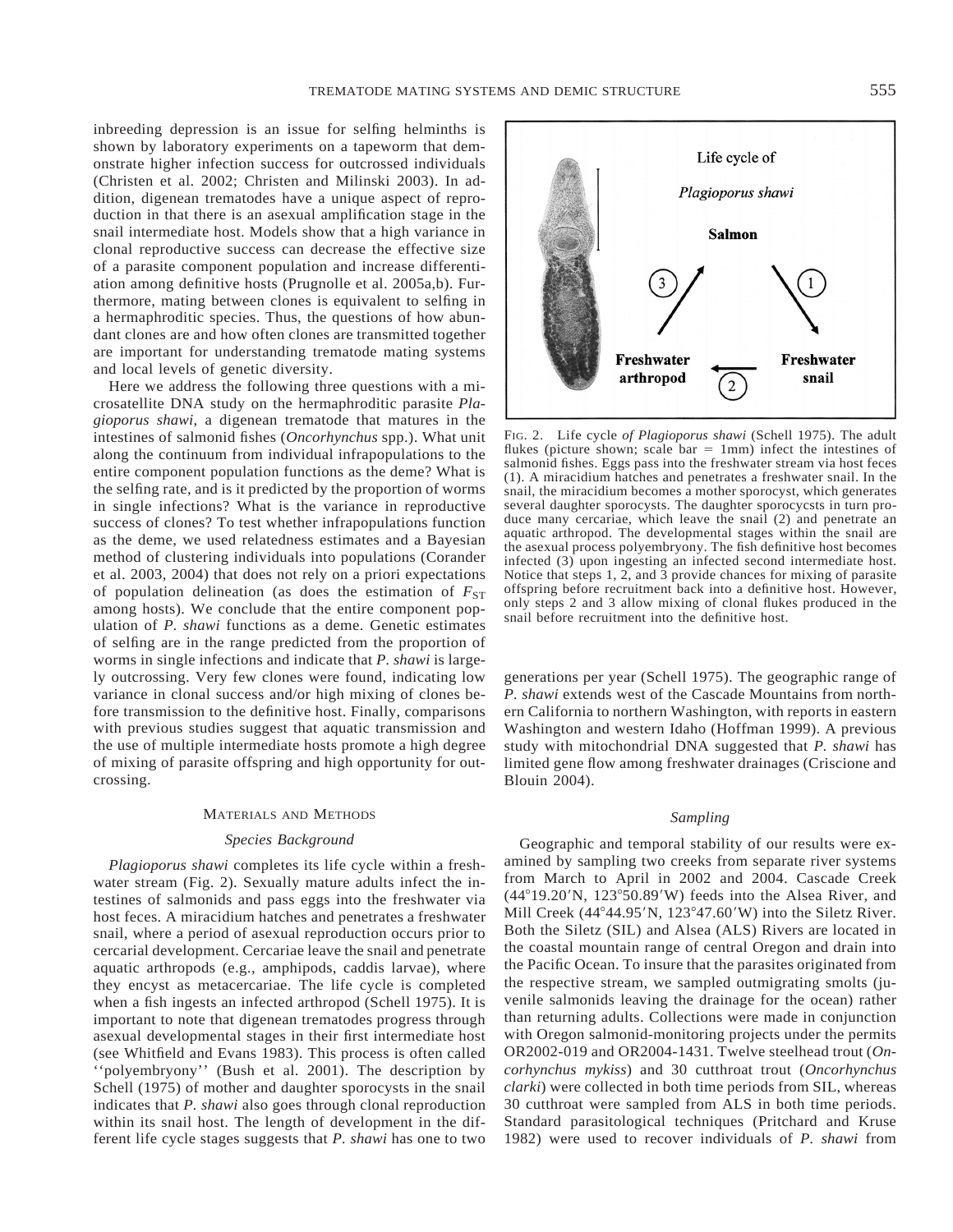inbreeding depression is an issue for selfing helminths is shown by laboratory experiments on a tapeworm that demonstrate higher infection success for outcrossed individuals (Christen et al. 2002; Christen and Milinski 2003). In addition, digenean trematodes have a unique aspect of reproduction in that there is an asexual amplification stage in the snail intermediate host. Models show that a high variance in clonal reproductive success can decrease the effective size of a parasite component population and increase differentiation among definitive hosts (Prugnolle et al. 2005a,b). Furthermore, mating between clones is equivalent to selfing in a hermaphroditic species. Thus, the questions of how abundant clones are and how often clones are transmitted together are important for understanding trematode mating systems and local levels of genetic diversity.

Here we address the following three questions with a microsatellite DNA study on the hermaphroditic parasite *Plagioporus shawi*, a digenean trematode that matures in the intestines of salmonid fishes (*Oncorhynchus* spp.). What unit along the continuum from individual infrapopulations to the entire component population functions as the deme? What is the selfing rate, and is it predicted by the proportion of worms in single infections? What is the variance in reproductive success of clones? To test whether infrapopulations function as the deme, we used relatedness estimates and a Bayesian method of clustering individuals into populations (Corander et al. 2003, 2004) that does not rely on a priori expectations of population delineation (as does the estimation of  $F_{ST}$ among hosts). We conclude that the entire component population of *P. shawi* functions as a deme. Genetic estimates of selfing are in the range predicted from the proportion of worms in single infections and indicate that *P. shawi* is largely outcrossing. Very few clones were found, indicating low variance in clonal success and/or high mixing of clones before transmission to the definitive host. Finally, comparisons with previous studies suggest that aquatic transmission and the use of multiple intermediate hosts promote a high degree of mixing of parasite offspring and high opportunity for outcrossing.

# MATERIALS AND METHODS

## *Species Background*

*Plagioporus shawi* completes its life cycle within a freshwater stream (Fig. 2). Sexually mature adults infect the intestines of salmonids and pass eggs into the freshwater via host feces. A miracidium hatches and penetrates a freshwater snail, where a period of asexual reproduction occurs prior to cercarial development. Cercariae leave the snail and penetrate aquatic arthropods (e.g., amphipods, caddis larvae), where they encyst as metacercariae. The life cycle is completed when a fish ingests an infected arthropod (Schell 1975). It is important to note that digenean trematodes progress through asexual developmental stages in their first intermediate host (see Whitfield and Evans 1983). This process is often called ''polyembryony'' (Bush et al. 2001). The description by Schell (1975) of mother and daughter sporocysts in the snail indicates that *P. shawi* also goes through clonal reproduction within its snail host. The length of development in the different life cycle stages suggests that *P. shawi* has one to two



FIG. 2. Life cycle *of Plagioporus shawi* (Schell 1975). The adult flukes (picture shown; scale  $bar = 1mm$ ) infect the intestines of salmonid fishes. Eggs pass into the freshwater stream via host feces (1). A miracidium hatches and penetrates a freshwater snail. In the snail, the miracidium becomes a mother sporocyst, which generates several daughter sporocysts. The daughter sporocycsts in turn produce many cercariae, which leave the snail (2) and penetrate an aquatic arthropod. The developmental stages within the snail are the asexual process polyembryony. The fish definitive host becomes infected (3) upon ingesting an infected second intermediate host. Notice that steps  $1, 2$ , and  $\overline{3}$  provide chances for mixing of parasite offspring before recruitment back into a definitive host. However, only steps 2 and 3 allow mixing of clonal flukes produced in the snail before recruitment into the definitive host.

generations per year (Schell 1975). The geographic range of *P. shawi* extends west of the Cascade Mountains from northern California to northern Washington, with reports in eastern Washington and western Idaho (Hoffman 1999). A previous study with mitochondrial DNA suggested that *P. shawi* has limited gene flow among freshwater drainages (Criscione and Blouin 2004).

## *Sampling*

Geographic and temporal stability of our results were examined by sampling two creeks from separate river systems from March to April in 2002 and 2004. Cascade Creek  $(44^{\circ}19.20^{\prime}N, 123^{\circ}50.89^{\prime}W)$  feeds into the Alsea River, and Mill Creek  $(44^{\circ}44.95^{\prime}N, 123^{\circ}47.60^{\prime}W)$  into the Siletz River. Both the Siletz (SIL) and Alsea (ALS) Rivers are located in the coastal mountain range of central Oregon and drain into the Pacific Ocean. To insure that the parasites originated from the respective stream, we sampled outmigrating smolts (juvenile salmonids leaving the drainage for the ocean) rather than returning adults. Collections were made in conjunction with Oregon salmonid-monitoring projects under the permits OR2002-019 and OR2004-1431. Twelve steelhead trout (*Oncorhynchus mykiss*) and 30 cutthroat trout (*Oncorhynchus clarki*) were collected in both time periods from SIL, whereas 30 cutthroat were sampled from ALS in both time periods. Standard parasitological techniques (Pritchard and Kruse 1982) were used to recover individuals of *P. shawi* from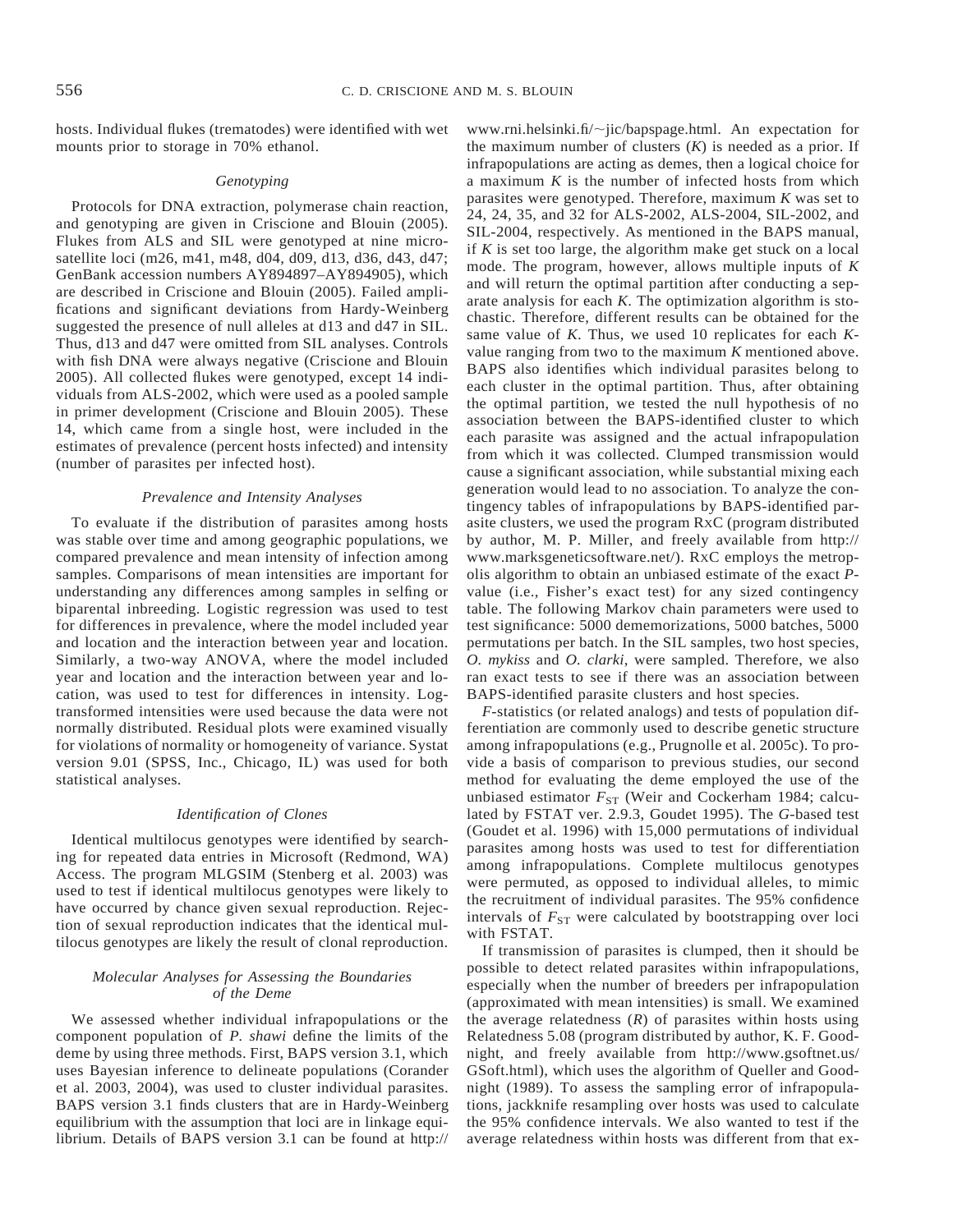hosts. Individual flukes (trematodes) were identified with wet mounts prior to storage in 70% ethanol.

# *Genotyping*

Protocols for DNA extraction, polymerase chain reaction, and genotyping are given in Criscione and Blouin (2005). Flukes from ALS and SIL were genotyped at nine microsatellite loci (m26, m41, m48, d04, d09, d13, d36, d43, d47; GenBank accession numbers AY894897–AY894905), which are described in Criscione and Blouin (2005). Failed amplifications and significant deviations from Hardy-Weinberg suggested the presence of null alleles at d13 and d47 in SIL. Thus, d13 and d47 were omitted from SIL analyses. Controls with fish DNA were always negative (Criscione and Blouin 2005). All collected flukes were genotyped, except 14 individuals from ALS-2002, which were used as a pooled sample in primer development (Criscione and Blouin 2005). These 14, which came from a single host, were included in the estimates of prevalence (percent hosts infected) and intensity (number of parasites per infected host).

# *Prevalence and Intensity Analyses*

To evaluate if the distribution of parasites among hosts was stable over time and among geographic populations, we compared prevalence and mean intensity of infection among samples. Comparisons of mean intensities are important for understanding any differences among samples in selfing or biparental inbreeding. Logistic regression was used to test for differences in prevalence, where the model included year and location and the interaction between year and location. Similarly, a two-way ANOVA, where the model included year and location and the interaction between year and location, was used to test for differences in intensity. Logtransformed intensities were used because the data were not normally distributed. Residual plots were examined visually for violations of normality or homogeneity of variance. Systat version 9.01 (SPSS, Inc., Chicago, IL) was used for both statistical analyses.

# *Identification of Clones*

Identical multilocus genotypes were identified by searching for repeated data entries in Microsoft (Redmond, WA) Access. The program MLGSIM (Stenberg et al. 2003) was used to test if identical multilocus genotypes were likely to have occurred by chance given sexual reproduction. Rejection of sexual reproduction indicates that the identical multilocus genotypes are likely the result of clonal reproduction.

# *Molecular Analyses for Assessing the Boundaries of the Deme*

We assessed whether individual infrapopulations or the component population of *P. shawi* define the limits of the deme by using three methods. First, BAPS version 3.1, which uses Bayesian inference to delineate populations (Corander et al. 2003, 2004), was used to cluster individual parasites. BAPS version 3.1 finds clusters that are in Hardy-Weinberg equilibrium with the assumption that loci are in linkage equilibrium. Details of BAPS version 3.1 can be found at http:// www.rni.helsinki.fi/~jic/bapspage.html. An expectation for the maximum number of clusters  $(K)$  is needed as a prior. If infrapopulations are acting as demes, then a logical choice for a maximum *K* is the number of infected hosts from which parasites were genotyped. Therefore, maximum *K* was set to 24, 24, 35, and 32 for ALS-2002, ALS-2004, SIL-2002, and SIL-2004, respectively. As mentioned in the BAPS manual, if *K* is set too large, the algorithm make get stuck on a local mode. The program, however, allows multiple inputs of *K* and will return the optimal partition after conducting a separate analysis for each *K*. The optimization algorithm is stochastic. Therefore, different results can be obtained for the same value of *K*. Thus, we used 10 replicates for each *K*value ranging from two to the maximum *K* mentioned above. BAPS also identifies which individual parasites belong to each cluster in the optimal partition. Thus, after obtaining the optimal partition, we tested the null hypothesis of no association between the BAPS-identified cluster to which each parasite was assigned and the actual infrapopulation from which it was collected. Clumped transmission would cause a significant association, while substantial mixing each generation would lead to no association. To analyze the contingency tables of infrapopulations by BAPS-identified parasite clusters, we used the program RXC (program distributed by author, M. P. Miller, and freely available from http:// www.marksgeneticsoftware.net/). RXC employs the metropolis algorithm to obtain an unbiased estimate of the exact *P*value (i.e., Fisher's exact test) for any sized contingency table. The following Markov chain parameters were used to test significance: 5000 dememorizations, 5000 batches, 5000 permutations per batch. In the SIL samples, two host species, *O. mykiss* and *O. clarki*, were sampled. Therefore, we also ran exact tests to see if there was an association between BAPS-identified parasite clusters and host species.

*F*-statistics (or related analogs) and tests of population differentiation are commonly used to describe genetic structure among infrapopulations (e.g., Prugnolle et al. 2005c). To provide a basis of comparison to previous studies, our second method for evaluating the deme employed the use of the unbiased estimator  $F_{ST}$  (Weir and Cockerham 1984; calculated by FSTAT ver. 2.9.3, Goudet 1995). The *G*-based test (Goudet et al. 1996) with 15,000 permutations of individual parasites among hosts was used to test for differentiation among infrapopulations. Complete multilocus genotypes were permuted, as opposed to individual alleles, to mimic the recruitment of individual parasites. The 95% confidence intervals of  $F_{ST}$  were calculated by bootstrapping over loci with FSTAT.

If transmission of parasites is clumped, then it should be possible to detect related parasites within infrapopulations, especially when the number of breeders per infrapopulation (approximated with mean intensities) is small. We examined the average relatedness  $(R)$  of parasites within hosts using Relatedness 5.08 (program distributed by author, K. F. Goodnight, and freely available from http://www.gsoftnet.us/ GSoft.html), which uses the algorithm of Queller and Goodnight (1989). To assess the sampling error of infrapopulations, jackknife resampling over hosts was used to calculate the 95% confidence intervals. We also wanted to test if the average relatedness within hosts was different from that ex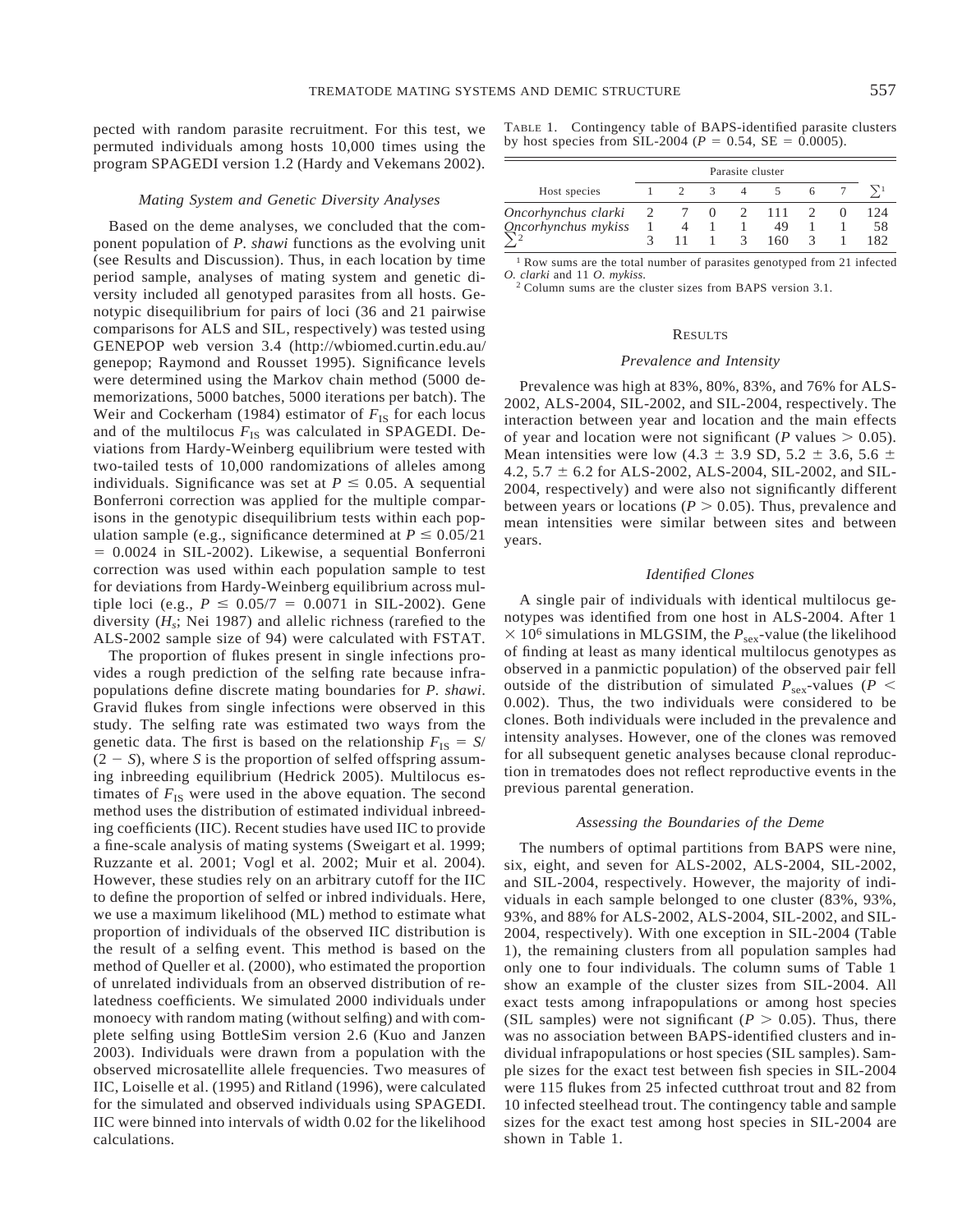pected with random parasite recruitment. For this test, we permuted individuals among hosts 10,000 times using the program SPAGEDI version 1.2 (Hardy and Vekemans 2002).

#### *Mating System and Genetic Diversity Analyses*

Based on the deme analyses, we concluded that the component population of *P. shawi* functions as the evolving unit (see Results and Discussion). Thus, in each location by time period sample, analyses of mating system and genetic diversity included all genotyped parasites from all hosts. Genotypic disequilibrium for pairs of loci (36 and 21 pairwise comparisons for ALS and SIL, respectively) was tested using GENEPOP web version 3.4 (http://wbiomed.curtin.edu.au/ genepop; Raymond and Rousset 1995). Significance levels were determined using the Markov chain method (5000 dememorizations, 5000 batches, 5000 iterations per batch). The Weir and Cockerham (1984) estimator of  $F_{\text{IS}}$  for each locus and of the multilocus  $F_{IS}$  was calculated in SPAGEDI. Deviations from Hardy-Weinberg equilibrium were tested with two-tailed tests of 10,000 randomizations of alleles among individuals. Significance was set at  $P \leq 0.05$ . A sequential Bonferroni correction was applied for the multiple comparisons in the genotypic disequilibrium tests within each population sample (e.g., significance determined at  $P \le 0.05/21$  $= 0.0024$  in SIL-2002). Likewise, a sequential Bonferroni correction was used within each population sample to test for deviations from Hardy-Weinberg equilibrium across multiple loci (e.g.,  $P \le 0.05/7 = 0.0071$  in SIL-2002). Gene diversity (*Hs*; Nei 1987) and allelic richness (rarefied to the ALS-2002 sample size of 94) were calculated with FSTAT.

The proportion of flukes present in single infections provides a rough prediction of the selfing rate because infrapopulations define discrete mating boundaries for *P. shawi*. Gravid flukes from single infections were observed in this study. The selfing rate was estimated two ways from the genetic data. The first is based on the relationship  $F_{IS} = S/$  $(2 - S)$ , where *S* is the proportion of selfed offspring assuming inbreeding equilibrium (Hedrick 2005). Multilocus estimates of  $F_{\text{IS}}$  were used in the above equation. The second method uses the distribution of estimated individual inbreeding coefficients (IIC). Recent studies have used IIC to provide a fine-scale analysis of mating systems (Sweigart et al. 1999; Ruzzante et al. 2001; Vogl et al. 2002; Muir et al. 2004). However, these studies rely on an arbitrary cutoff for the IIC to define the proportion of selfed or inbred individuals. Here, we use a maximum likelihood (ML) method to estimate what proportion of individuals of the observed IIC distribution is the result of a selfing event. This method is based on the method of Queller et al. (2000), who estimated the proportion of unrelated individuals from an observed distribution of relatedness coefficients. We simulated 2000 individuals under monoecy with random mating (without selfing) and with complete selfing using BottleSim version 2.6 (Kuo and Janzen 2003). Individuals were drawn from a population with the observed microsatellite allele frequencies. Two measures of IIC, Loiselle et al. (1995) and Ritland (1996), were calculated for the simulated and observed individuals using SPAGEDI. IIC were binned into intervals of width 0.02 for the likelihood calculations.

TABLE 1. Contingency table of BAPS-identified parasite clusters by host species from SIL-2004 ( $P = 0.54$ , SE = 0.0005).

|                                                            | Parasite cluster |  |    |   |           |  |  |          |
|------------------------------------------------------------|------------------|--|----|---|-----------|--|--|----------|
| Host species                                               |                  |  | n. |   |           |  |  |          |
| Oncorhynchus clarki<br>$Qncorhynchus$ mykiss<br>$\nabla^2$ |                  |  |    | 3 | 49<br>160 |  |  | 24<br>58 |

<sup>1</sup> Row sums are the total number of parasites genotyped from 21 infected *O. clarki* and 11 *O. mykiss.* 

<sup>2</sup> Column sums are the cluster sizes from BAPS version 3.1.

#### **RESULTS**

## *Prevalence and Intensity*

Prevalence was high at 83%, 80%, 83%, and 76% for ALS-2002, ALS-2004, SIL-2002, and SIL-2004, respectively. The interaction between year and location and the main effects of year and location were not significant ( $P$  values  $> 0.05$ ). Mean intensities were low (4.3  $\pm$  3.9 SD, 5.2  $\pm$  3.6, 5.6  $\pm$ 4.2,  $5.7 \pm 6.2$  for ALS-2002, ALS-2004, SIL-2002, and SIL-2004, respectively) and were also not significantly different between years or locations ( $P > 0.05$ ). Thus, prevalence and mean intensities were similar between sites and between years.

## *Identified Clones*

A single pair of individuals with identical multilocus genotypes was identified from one host in ALS-2004. After 1  $\times$  10<sup>6</sup> simulations in MLGSIM, the  $P_{\text{sex}}$ -value (the likelihood of finding at least as many identical multilocus genotypes as observed in a panmictic population) of the observed pair fell outside of the distribution of simulated  $P_{\text{sex}}$ -values ( $P$  < 0.002). Thus, the two individuals were considered to be clones. Both individuals were included in the prevalence and intensity analyses. However, one of the clones was removed for all subsequent genetic analyses because clonal reproduction in trematodes does not reflect reproductive events in the previous parental generation.

## *Assessing the Boundaries of the Deme*

The numbers of optimal partitions from BAPS were nine, six, eight, and seven for ALS-2002, ALS-2004, SIL-2002, and SIL-2004, respectively. However, the majority of individuals in each sample belonged to one cluster (83%, 93%, 93%, and 88% for ALS-2002, ALS-2004, SIL-2002, and SIL-2004, respectively). With one exception in SIL-2004 (Table 1), the remaining clusters from all population samples had only one to four individuals. The column sums of Table 1 show an example of the cluster sizes from SIL-2004. All exact tests among infrapopulations or among host species (SIL samples) were not significant ( $P > 0.05$ ). Thus, there was no association between BAPS-identified clusters and individual infrapopulations or host species (SIL samples). Sample sizes for the exact test between fish species in SIL-2004 were 115 flukes from 25 infected cutthroat trout and 82 from 10 infected steelhead trout. The contingency table and sample sizes for the exact test among host species in SIL-2004 are shown in Table 1.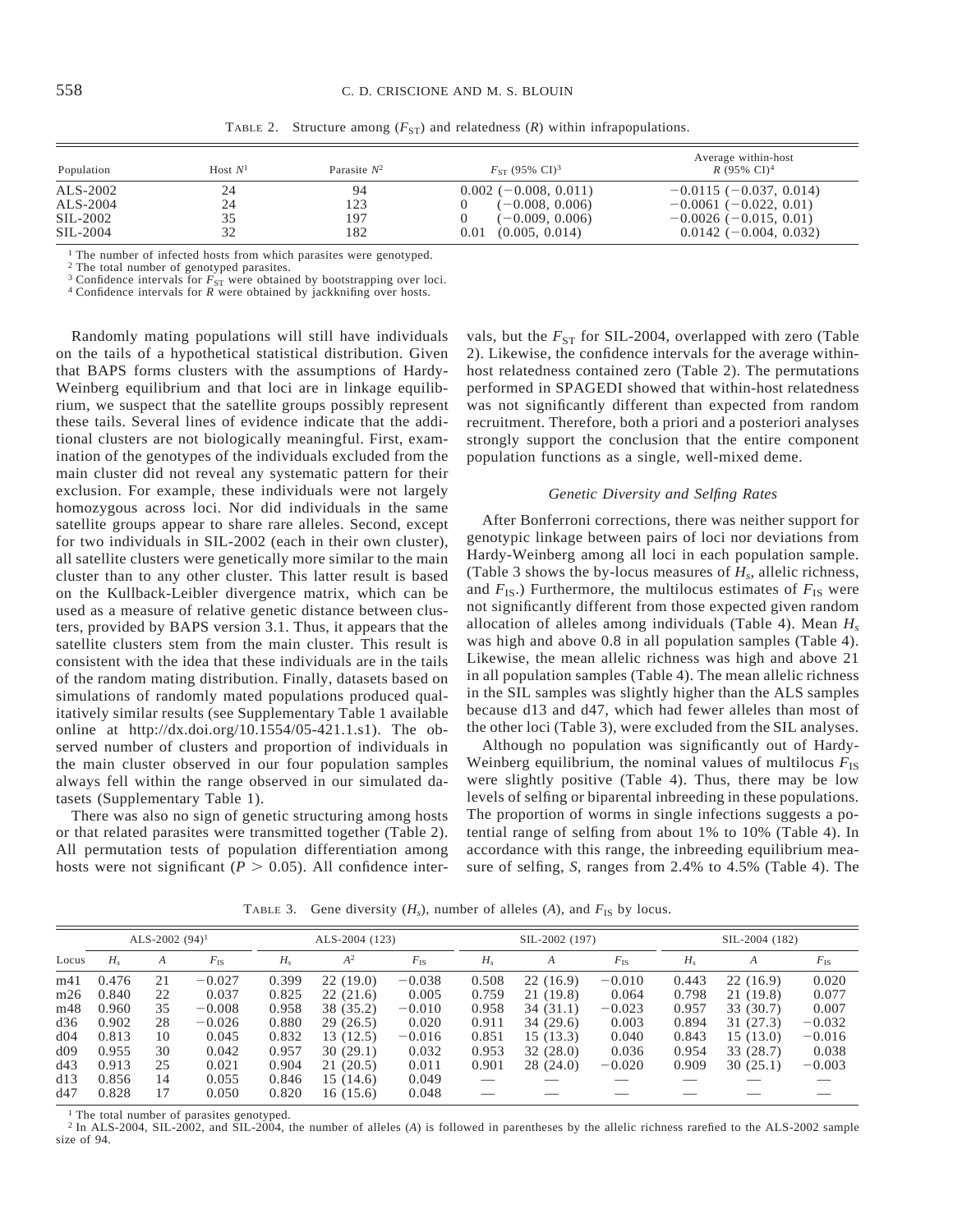| Population | Host $N1$ | Parasite $N^2$ | $F_{ST}$ (95% CI) <sup>3</sup> | Average within-host<br>R (95% CI) <sup>4</sup> |
|------------|-----------|----------------|--------------------------------|------------------------------------------------|
| ALS-2002   | 24        | 94             | $0.002(-0.008, 0.011)$         | $-0.0115(-0.037, 0.014)$                       |
| ALS-2004   | 24        | 123            | $(-0.008, 0.006)$              | $-0.0061$ ( $-0.022$ , 0.01)                   |
| SIL-2002   | 35        | 197            | $(-0.009, 0.006)$              | $-0.0026(-0.015, 0.01)$                        |
| SIL-2004   | 32        | 182            | $0.01$ $(0.005, 0.014)$        | $0.0142(-0.004, 0.032)$                        |

TABLE 2. Structure among  $(F_{ST})$  and relatedness  $(R)$  within infrapopulations.

<sup>1</sup> The number of infected hosts from which parasites were genotyped.

<sup>2</sup> The total number of genotyped parasites.

<sup>3</sup> Confidence intervals for  $F_{ST}$  were obtained by bootstrapping over loci. <sup>4</sup> Confidence intervals for *R* were obtained by jackknifing over hosts.

Randomly mating populations will still have individuals on the tails of a hypothetical statistical distribution. Given that BAPS forms clusters with the assumptions of Hardy-Weinberg equilibrium and that loci are in linkage equilibrium, we suspect that the satellite groups possibly represent these tails. Several lines of evidence indicate that the additional clusters are not biologically meaningful. First, examination of the genotypes of the individuals excluded from the main cluster did not reveal any systematic pattern for their exclusion. For example, these individuals were not largely homozygous across loci. Nor did individuals in the same satellite groups appear to share rare alleles. Second, except for two individuals in SIL-2002 (each in their own cluster), all satellite clusters were genetically more similar to the main cluster than to any other cluster. This latter result is based on the Kullback-Leibler divergence matrix, which can be used as a measure of relative genetic distance between clusters, provided by BAPS version 3.1. Thus, it appears that the satellite clusters stem from the main cluster. This result is consistent with the idea that these individuals are in the tails of the random mating distribution. Finally, datasets based on simulations of randomly mated populations produced qualitatively similar results (see Supplementary Table 1 available online at http://dx.doi.org/10.1554/05-421.1.s1). The observed number of clusters and proportion of individuals in the main cluster observed in our four population samples always fell within the range observed in our simulated datasets (Supplementary Table 1).

There was also no sign of genetic structuring among hosts or that related parasites were transmitted together (Table 2). All permutation tests of population differentiation among hosts were not significant ( $P > 0.05$ ). All confidence intervals, but the  $F_{ST}$  for SIL-2004, overlapped with zero (Table 2). Likewise, the confidence intervals for the average withinhost relatedness contained zero (Table 2). The permutations performed in SPAGEDI showed that within-host relatedness was not significantly different than expected from random recruitment. Therefore, both a priori and a posteriori analyses strongly support the conclusion that the entire component population functions as a single, well-mixed deme.

## *Genetic Diversity and Selfing Rates*

After Bonferroni corrections, there was neither support for genotypic linkage between pairs of loci nor deviations from Hardy-Weinberg among all loci in each population sample. (Table 3 shows the by-locus measures of  $H_s$ , allelic richness, and  $F_{\text{IS}}$ .) Furthermore, the multilocus estimates of  $F_{\text{IS}}$  were not significantly different from those expected given random allocation of alleles among individuals (Table 4). Mean *Hs* was high and above 0.8 in all population samples (Table 4). Likewise, the mean allelic richness was high and above 21 in all population samples (Table 4). The mean allelic richness in the SIL samples was slightly higher than the ALS samples because d13 and d47, which had fewer alleles than most of the other loci (Table 3), were excluded from the SIL analyses.

Although no population was significantly out of Hardy-Weinberg equilibrium, the nominal values of multilocus  $F_{IS}$ were slightly positive (Table 4). Thus, there may be low levels of selfing or biparental inbreeding in these populations. The proportion of worms in single infections suggests a potential range of selfing from about 1% to 10% (Table 4). In accordance with this range, the inbreeding equilibrium measure of selfing, *S*, ranges from 2.4% to 4.5% (Table 4). The

TABLE 3. Gene diversity  $(H_s)$ , number of alleles  $(A)$ , and  $F_{IS}$  by locus.

| ALS-2002 $(94)^1$ |             |    | ALS-2004 (123) |             |           | SIL-2002 (197) |       |           | SIL-2004 (182) |         |           |              |
|-------------------|-------------|----|----------------|-------------|-----------|----------------|-------|-----------|----------------|---------|-----------|--------------|
| Locus             | $H_{\rm c}$ | А  | $F_{\rm IS}$   | $H_{\rm s}$ | $A^2$     | $F_{\rm IS}$   | $H_s$ | A         | $F_{\rm IS}$   | $H_{s}$ | А         | $F_{\rm IS}$ |
| m41               | 0.476       | 21 | $-0.027$       | 0.399       | 22(19.0)  | $-0.038$       | 0.508 | 22(16.9)  | $-0.010$       | 0.443   | 22(16.9)  | 0.020        |
| m26               | 0.840       | 22 | 0.037          | 0.825       | 22(21.6)  | 0.005          | 0.759 | 21 (19.8) | 0.064          | 0.798   | 21 (19.8) | 0.077        |
| m48               | 0.960       | 35 | $-0.008$       | 0.958       | 38 (35.2) | $-0.010$       | 0.958 | 34(31.1)  | $-0.023$       | 0.957   | 33 (30.7) | 0.007        |
| d36               | 0.902       | 28 | $-0.026$       | 0.880       | 29 (26.5) | 0.020          | 0.911 | 34(29.6)  | 0.003          | 0.894   | 31 (27.3) | $-0.032$     |
| d04               | 0.813       | 10 | 0.045          | 0.832       | 13 (12.5) | $-0.016$       | 0.851 | 15 (13.3) | 0.040          | 0.843   | 15(13.0)  | $-0.016$     |
| d09               | 0.955       | 30 | 0.042          | 0.957       | 30(29.1)  | 0.032          | 0.953 | 32(28.0)  | 0.036          | 0.954   | 33 (28.7) | 0.038        |
| d43               | 0.913       | 25 | 0.021          | 0.904       | 21(20.5)  | 0.011          | 0.901 | 28 (24.0) | $-0.020$       | 0.909   | 30(25.1)  | $-0.003$     |
| d13               | 0.856       | 14 | 0.055          | 0.846       | 15 (14.6) | 0.049          |       |           |                |         |           |              |
| d47               | 0.828       | 17 | 0.050          | 0.820       | 16 (15.6) | 0.048          |       |           |                |         |           |              |

<sup>1</sup> The total number of parasites genotyped.

<sup>2</sup> In ALS-2004, SIL-2002, and SIL-2004, the number of alleles (*A*) is followed in parentheses by the allelic richness rarefied to the ALS-2002 sample size of 94.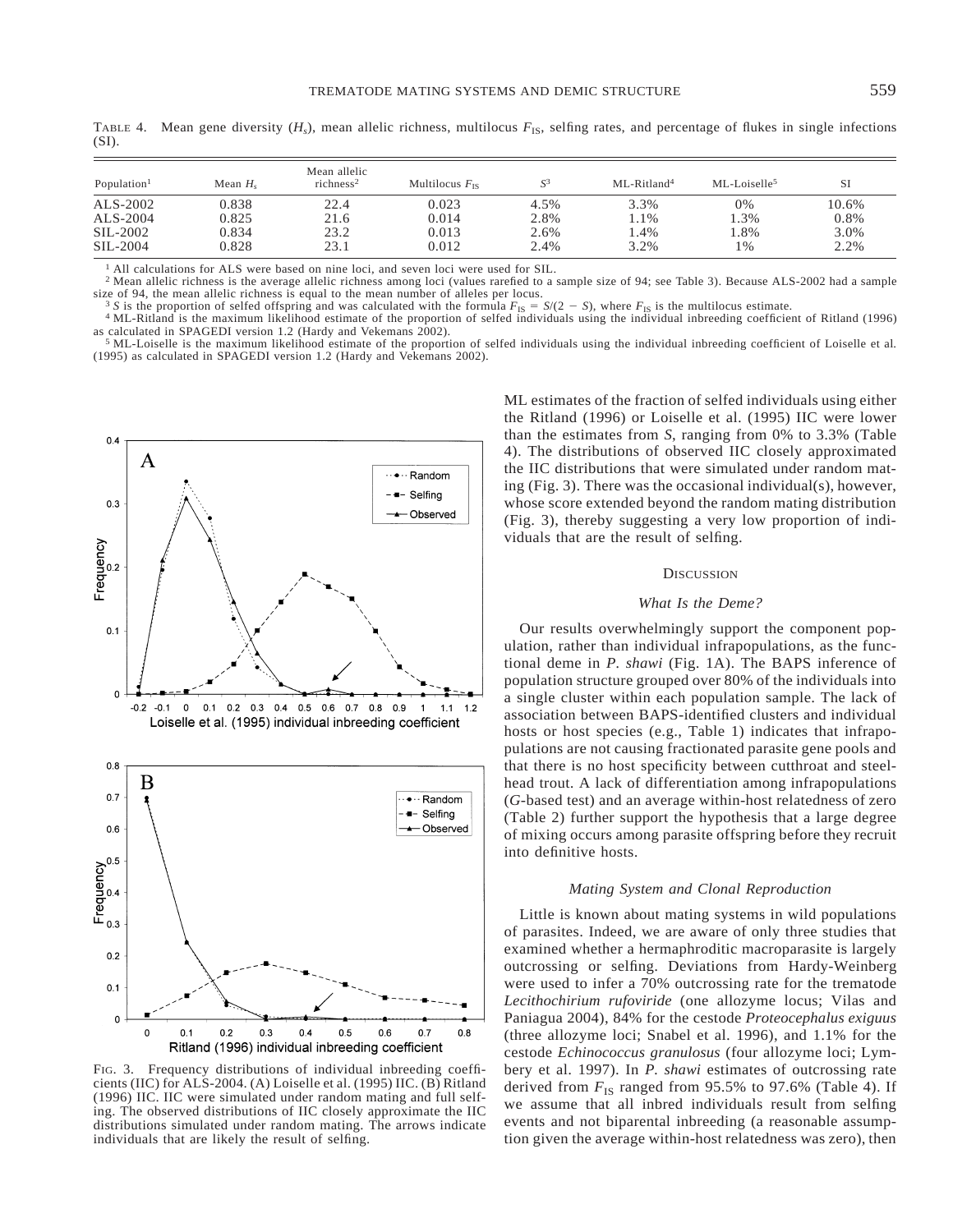| Population <sup>1</sup> | Mean $Hc$ | Mean allelic<br>richness <sup>2</sup> | Multilocus $F_{\text{IS}}$ | S3   | ML-Ritland <sup>4</sup> | ML-Loiselle <sup>5</sup> | SI    |
|-------------------------|-----------|---------------------------------------|----------------------------|------|-------------------------|--------------------------|-------|
| ALS-2002                | 0.838     | 22.4                                  | 0.023                      | 4.5% | 3.3%                    | 0%                       | 10.6% |
| ALS-2004                | 0.825     | 21.6                                  | 0.014                      | 2.8% | $1.1\%$                 | .3%                      | 0.8%  |
| SIL-2002                | 0.834     | 23.2                                  | 0.013                      | 2.6% | .4%                     | 1.8%                     | 3.0%  |
| SIL-2004                | 0.828     | 23.1                                  | 0.012                      | 2.4% | 3.2%                    | 1%                       | 2.2%  |

TABLE 4. Mean gene diversity  $(H_s)$ , mean allelic richness, multilocus  $F_{IS}$ , selfing rates, and percentage of flukes in single infections  $(SI)$ .

<sup>1</sup> All calculations for ALS were based on nine loci, and seven loci were used for SIL.

<sup>2</sup> Mean allelic richness is the average allelic richness among loci (values rarefied to a sample size of 94; see Table 3). Because ALS-2002 had a sample

size of 94, the mean allelic richness is equal to the mean number of alleles per locus.<br><sup>3</sup> S is the proportion of selfed offspring and was calculated with the formula  $F_{IS} = S/(2 - S)$ , where  $F_{IS}$  is the multilocus estimat

<sup>5</sup> ML-Loiselle is the maximum likelihood estimate of the proportion of selfed individuals using the individual inbreeding coefficient of Loiselle et al. (1995) as calculated in SPAGEDI version 1.2 (Hardy and Vekemans 2002).



FIG. 3. Frequency distributions of individual inbreeding coefficients (IIC) for ALS-2004. (A) Loiselle et al. (1995) IIC. (B) Ritland (1996) IIC. IIC were simulated under random mating and full selfing. The observed distributions of IIC closely approximate the IIC distributions simulated under random mating. The arrows indicate individuals that are likely the result of selfing.

 $0.4$ 

Ritland (1996) individual inbreeding coefficient

 $0.5$ 

 $0.6$ 

 $0.7$ 

 $0.8$ 

 $0.3$ 

 $0.2$ 

 $0.2$ 

 $0.1$ 

 $\mathbf 0$ 

 $\mathbf 0$ 

 $0.1$ 

ML estimates of the fraction of selfed individuals using either the Ritland (1996) or Loiselle et al. (1995) IIC were lower than the estimates from *S*, ranging from 0% to 3.3% (Table 4). The distributions of observed IIC closely approximated the IIC distributions that were simulated under random mating (Fig. 3). There was the occasional individual(s), however, whose score extended beyond the random mating distribution (Fig. 3), thereby suggesting a very low proportion of individuals that are the result of selfing.

#### **DISCUSSION**

#### *What Is the Deme?*

Our results overwhelmingly support the component population, rather than individual infrapopulations, as the functional deme in *P. shawi* (Fig. 1A). The BAPS inference of population structure grouped over 80% of the individuals into a single cluster within each population sample. The lack of association between BAPS-identified clusters and individual hosts or host species (e.g., Table 1) indicates that infrapopulations are not causing fractionated parasite gene pools and that there is no host specificity between cutthroat and steelhead trout. A lack of differentiation among infrapopulations (*G*-based test) and an average within-host relatedness of zero (Table 2) further support the hypothesis that a large degree of mixing occurs among parasite offspring before they recruit into definitive hosts.

#### *Mating System and Clonal Reproduction*

Little is known about mating systems in wild populations of parasites. Indeed, we are aware of only three studies that examined whether a hermaphroditic macroparasite is largely outcrossing or selfing. Deviations from Hardy-Weinberg were used to infer a 70% outcrossing rate for the trematode *Lecithochirium rufoviride* (one allozyme locus; Vilas and Paniagua 2004), 84% for the cestode *Proteocephalus exiguus* (three allozyme loci; Snabel et al. 1996), and 1.1% for the cestode *Echinococcus granulosus* (four allozyme loci; Lymbery et al. 1997). In *P. shawi* estimates of outcrossing rate derived from  $F_{IS}$  ranged from 95.5% to 97.6% (Table 4). If we assume that all inbred individuals result from selfing events and not biparental inbreeding (a reasonable assumption given the average within-host relatedness was zero), then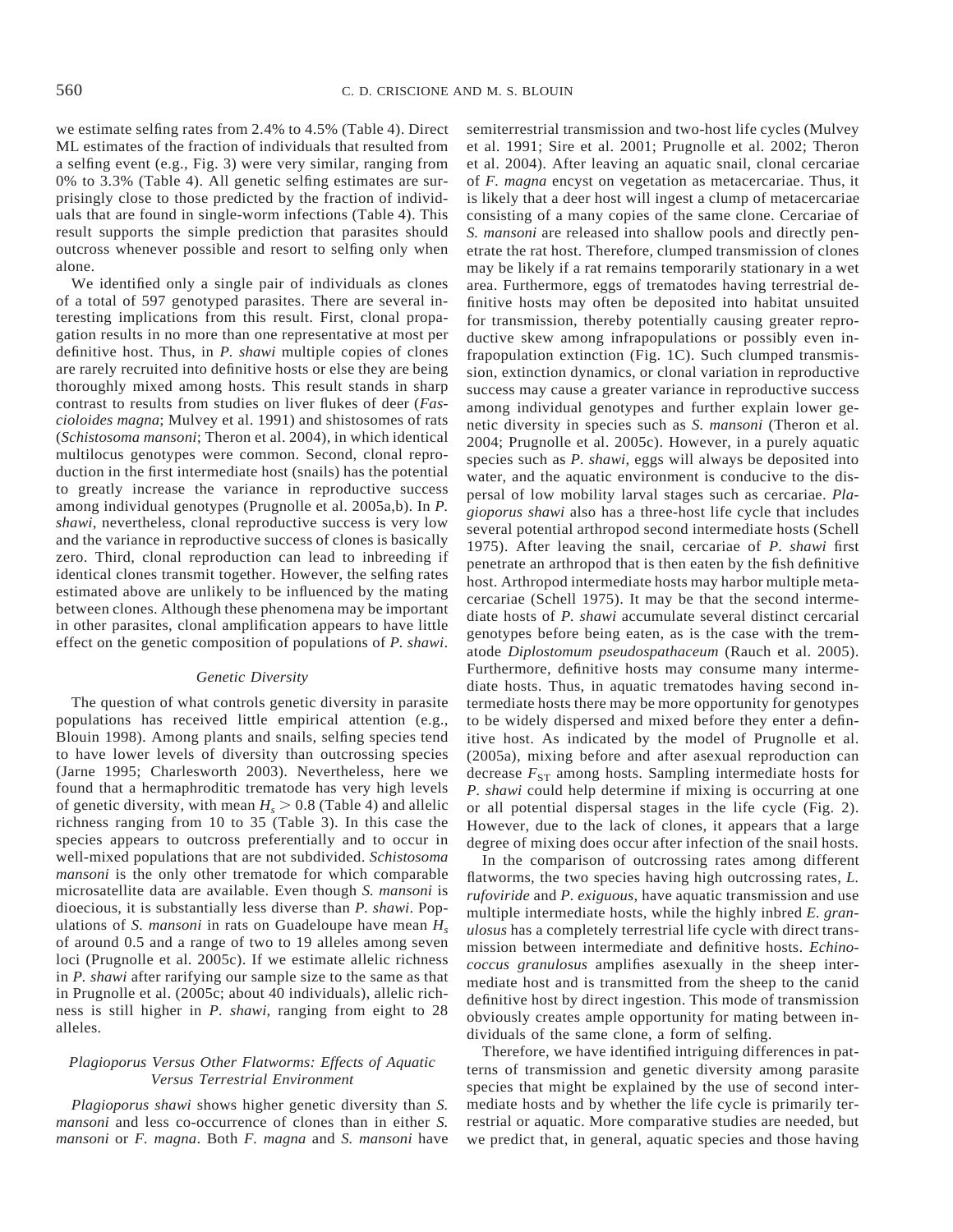we estimate selfing rates from 2.4% to 4.5% (Table 4). Direct ML estimates of the fraction of individuals that resulted from a selfing event (e.g., Fig. 3) were very similar, ranging from 0% to 3.3% (Table 4). All genetic selfing estimates are surprisingly close to those predicted by the fraction of individuals that are found in single-worm infections (Table 4). This result supports the simple prediction that parasites should outcross whenever possible and resort to selfing only when alone.

We identified only a single pair of individuals as clones of a total of 597 genotyped parasites. There are several interesting implications from this result. First, clonal propagation results in no more than one representative at most per definitive host. Thus, in *P. shawi* multiple copies of clones are rarely recruited into definitive hosts or else they are being thoroughly mixed among hosts. This result stands in sharp contrast to results from studies on liver flukes of deer (*Fascioloides magna*; Mulvey et al. 1991) and shistosomes of rats (*Schistosoma mansoni*; Theron et al. 2004), in which identical multilocus genotypes were common. Second, clonal reproduction in the first intermediate host (snails) has the potential to greatly increase the variance in reproductive success among individual genotypes (Prugnolle et al. 2005a,b). In *P. shawi*, nevertheless, clonal reproductive success is very low and the variance in reproductive success of clones is basically zero. Third, clonal reproduction can lead to inbreeding if identical clones transmit together. However, the selfing rates estimated above are unlikely to be influenced by the mating between clones. Although these phenomena may be important in other parasites, clonal amplification appears to have little effect on the genetic composition of populations of *P. shawi*.

## *Genetic Diversity*

The question of what controls genetic diversity in parasite populations has received little empirical attention (e.g., Blouin 1998). Among plants and snails, selfing species tend to have lower levels of diversity than outcrossing species (Jarne 1995; Charlesworth 2003). Nevertheless, here we found that a hermaphroditic trematode has very high levels of genetic diversity, with mean  $H_s > 0.8$  (Table 4) and allelic richness ranging from 10 to 35 (Table 3). In this case the species appears to outcross preferentially and to occur in well-mixed populations that are not subdivided. *Schistosoma mansoni* is the only other trematode for which comparable microsatellite data are available. Even though *S. mansoni* is dioecious, it is substantially less diverse than *P. shawi*. Populations of *S. mansoni* in rats on Guadeloupe have mean  $H_s$ of around 0.5 and a range of two to 19 alleles among seven loci (Prugnolle et al. 2005c). If we estimate allelic richness in *P. shawi* after rarifying our sample size to the same as that in Prugnolle et al. (2005c; about 40 individuals), allelic richness is still higher in *P. shawi*, ranging from eight to 28 alleles.

# *Plagioporus Versus Other Flatworms: Effects of Aquatic Versus Terrestrial Environment*

*Plagioporus shawi* shows higher genetic diversity than *S. mansoni* and less co-occurrence of clones than in either *S. mansoni* or *F. magna*. Both *F. magna* and *S. mansoni* have semiterrestrial transmission and two-host life cycles (Mulvey et al. 1991; Sire et al. 2001; Prugnolle et al. 2002; Theron et al. 2004). After leaving an aquatic snail, clonal cercariae of *F. magna* encyst on vegetation as metacercariae. Thus, it is likely that a deer host will ingest a clump of metacercariae consisting of a many copies of the same clone. Cercariae of *S. mansoni* are released into shallow pools and directly penetrate the rat host. Therefore, clumped transmission of clones may be likely if a rat remains temporarily stationary in a wet area. Furthermore, eggs of trematodes having terrestrial definitive hosts may often be deposited into habitat unsuited for transmission, thereby potentially causing greater reproductive skew among infrapopulations or possibly even infrapopulation extinction (Fig. 1C). Such clumped transmission, extinction dynamics, or clonal variation in reproductive success may cause a greater variance in reproductive success among individual genotypes and further explain lower genetic diversity in species such as *S. mansoni* (Theron et al. 2004; Prugnolle et al. 2005c). However, in a purely aquatic species such as *P. shawi*, eggs will always be deposited into water, and the aquatic environment is conducive to the dispersal of low mobility larval stages such as cercariae. *Plagioporus shawi* also has a three-host life cycle that includes several potential arthropod second intermediate hosts (Schell 1975). After leaving the snail, cercariae of *P. shawi* first penetrate an arthropod that is then eaten by the fish definitive host. Arthropod intermediate hosts may harbor multiple metacercariae (Schell 1975). It may be that the second intermediate hosts of *P. shawi* accumulate several distinct cercarial genotypes before being eaten, as is the case with the trematode *Diplostomum pseudospathaceum* (Rauch et al. 2005). Furthermore, definitive hosts may consume many intermediate hosts. Thus, in aquatic trematodes having second intermediate hosts there may be more opportunity for genotypes to be widely dispersed and mixed before they enter a definitive host. As indicated by the model of Prugnolle et al. (2005a), mixing before and after asexual reproduction can decrease  $F_{ST}$  among hosts. Sampling intermediate hosts for *P. shawi* could help determine if mixing is occurring at one or all potential dispersal stages in the life cycle (Fig. 2). However, due to the lack of clones, it appears that a large degree of mixing does occur after infection of the snail hosts.

In the comparison of outcrossing rates among different flatworms, the two species having high outcrossing rates, *L. rufoviride* and *P. exiguous*, have aquatic transmission and use multiple intermediate hosts, while the highly inbred *E. granulosus* has a completely terrestrial life cycle with direct transmission between intermediate and definitive hosts. *Echinococcus granulosus* amplifies asexually in the sheep intermediate host and is transmitted from the sheep to the canid definitive host by direct ingestion. This mode of transmission obviously creates ample opportunity for mating between individuals of the same clone, a form of selfing.

Therefore, we have identified intriguing differences in patterns of transmission and genetic diversity among parasite species that might be explained by the use of second intermediate hosts and by whether the life cycle is primarily terrestrial or aquatic. More comparative studies are needed, but we predict that, in general, aquatic species and those having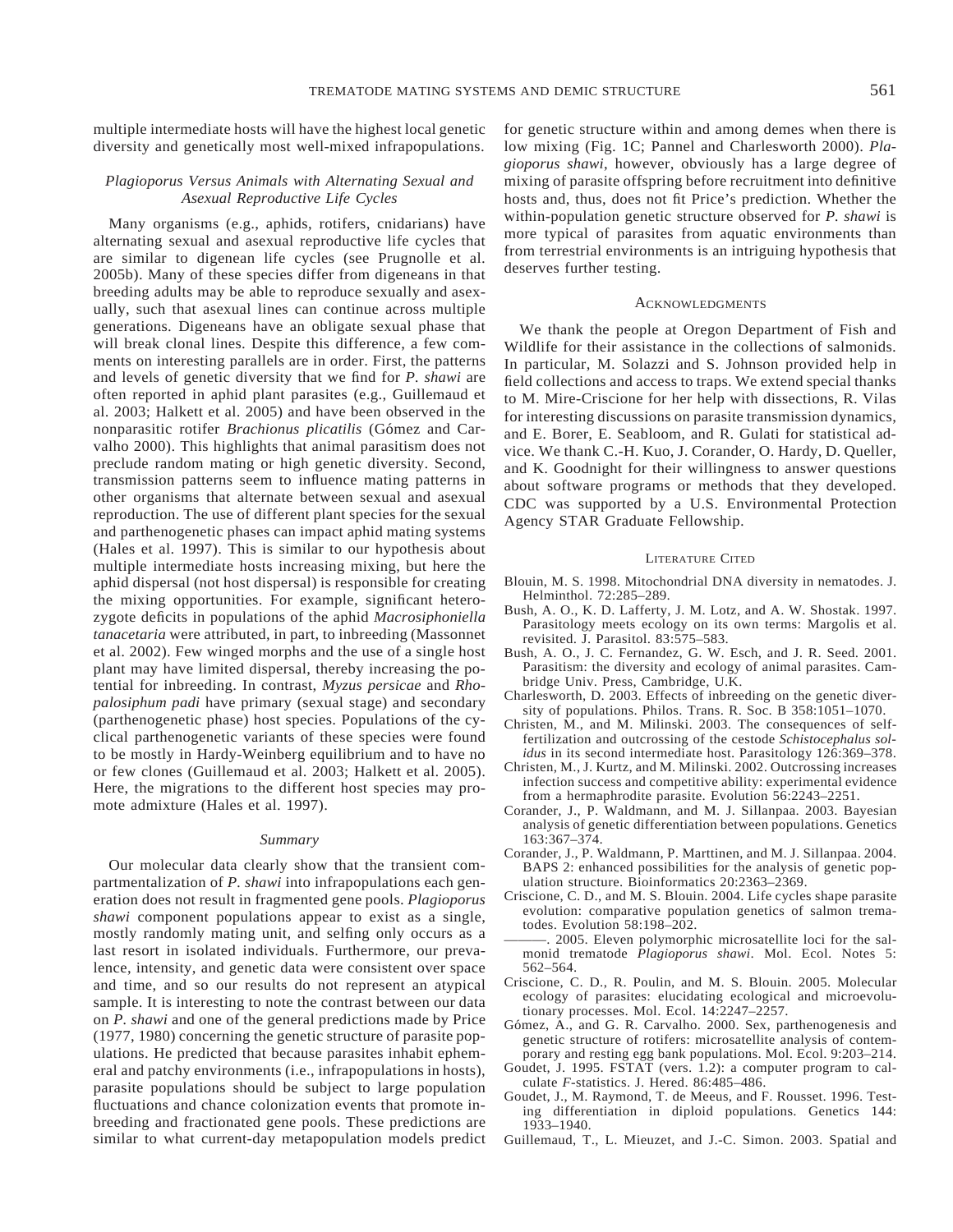multiple intermediate hosts will have the highest local genetic diversity and genetically most well-mixed infrapopulations.

# *Plagioporus Versus Animals with Alternating Sexual and Asexual Reproductive Life Cycles*

Many organisms (e.g., aphids, rotifers, cnidarians) have alternating sexual and asexual reproductive life cycles that are similar to digenean life cycles (see Prugnolle et al. 2005b). Many of these species differ from digeneans in that breeding adults may be able to reproduce sexually and asexually, such that asexual lines can continue across multiple generations. Digeneans have an obligate sexual phase that will break clonal lines. Despite this difference, a few comments on interesting parallels are in order. First, the patterns and levels of genetic diversity that we find for *P. shawi* are often reported in aphid plant parasites (e.g., Guillemaud et al. 2003; Halkett et al. 2005) and have been observed in the nonparasitic rotifer *Brachionus plicatilis* (Gómez and Carvalho 2000). This highlights that animal parasitism does not preclude random mating or high genetic diversity. Second, transmission patterns seem to influence mating patterns in other organisms that alternate between sexual and asexual reproduction. The use of different plant species for the sexual and parthenogenetic phases can impact aphid mating systems (Hales et al. 1997). This is similar to our hypothesis about multiple intermediate hosts increasing mixing, but here the aphid dispersal (not host dispersal) is responsible for creating the mixing opportunities. For example, significant heterozygote deficits in populations of the aphid *Macrosiphoniella tanacetaria* were attributed, in part, to inbreeding (Massonnet et al. 2002). Few winged morphs and the use of a single host plant may have limited dispersal, thereby increasing the potential for inbreeding. In contrast, *Myzus persicae* and *Rhopalosiphum padi* have primary (sexual stage) and secondary (parthenogenetic phase) host species. Populations of the cyclical parthenogenetic variants of these species were found to be mostly in Hardy-Weinberg equilibrium and to have no or few clones (Guillemaud et al. 2003; Halkett et al. 2005). Here, the migrations to the different host species may promote admixture (Hales et al. 1997).

## *Summary*

Our molecular data clearly show that the transient compartmentalization of *P. shawi* into infrapopulations each generation does not result in fragmented gene pools. *Plagioporus shawi* component populations appear to exist as a single, mostly randomly mating unit, and selfing only occurs as a last resort in isolated individuals. Furthermore, our prevalence, intensity, and genetic data were consistent over space and time, and so our results do not represent an atypical sample. It is interesting to note the contrast between our data on *P. shawi* and one of the general predictions made by Price (1977, 1980) concerning the genetic structure of parasite populations. He predicted that because parasites inhabit ephemeral and patchy environments (i.e., infrapopulations in hosts), parasite populations should be subject to large population fluctuations and chance colonization events that promote inbreeding and fractionated gene pools. These predictions are similar to what current-day metapopulation models predict for genetic structure within and among demes when there is low mixing (Fig. 1C; Pannel and Charlesworth 2000). *Plagioporus shawi*, however, obviously has a large degree of mixing of parasite offspring before recruitment into definitive hosts and, thus, does not fit Price's prediction. Whether the within-population genetic structure observed for *P. shawi* is more typical of parasites from aquatic environments than from terrestrial environments is an intriguing hypothesis that deserves further testing.

#### **ACKNOWLEDGMENTS**

We thank the people at Oregon Department of Fish and Wildlife for their assistance in the collections of salmonids. In particular, M. Solazzi and S. Johnson provided help in field collections and access to traps. We extend special thanks to M. Mire-Criscione for her help with dissections, R. Vilas for interesting discussions on parasite transmission dynamics, and E. Borer, E. Seabloom, and R. Gulati for statistical advice. We thank C.-H. Kuo, J. Corander, O. Hardy, D. Queller, and K. Goodnight for their willingness to answer questions about software programs or methods that they developed. CDC was supported by a U.S. Environmental Protection Agency STAR Graduate Fellowship.

### LITERATURE CITED

- Blouin, M. S. 1998. Mitochondrial DNA diversity in nematodes. J. Helminthol. 72:285–289.
- Bush, A. O., K. D. Lafferty, J. M. Lotz, and A. W. Shostak. 1997. Parasitology meets ecology on its own terms: Margolis et al. revisited. J. Parasitol. 83:575–583.
- Bush, A. O., J. C. Fernandez, G. W. Esch, and J. R. Seed. 2001. Parasitism: the diversity and ecology of animal parasites. Cambridge Univ. Press, Cambridge, U.K.
- Charlesworth, D. 2003. Effects of inbreeding on the genetic diversity of populations. Philos. Trans. R. Soc. B 358:1051–1070.
- Christen, M., and M. Milinski. 2003. The consequences of selffertilization and outcrossing of the cestode *Schistocephalus solidus* in its second intermediate host. Parasitology 126:369–378.
- Christen, M., J. Kurtz, and M. Milinski. 2002. Outcrossing increases infection success and competitive ability: experimental evidence from a hermaphrodite parasite. Evolution 56:2243–2251.
- Corander, J., P. Waldmann, and M. J. Sillanpaa. 2003. Bayesian analysis of genetic differentiation between populations. Genetics 163:367–374.
- Corander, J., P. Waldmann, P. Marttinen, and M. J. Sillanpaa. 2004. BAPS 2: enhanced possibilities for the analysis of genetic population structure. Bioinformatics 20:2363–2369.
- Criscione, C. D., and M. S. Blouin. 2004. Life cycles shape parasite evolution: comparative population genetics of salmon trematodes. Evolution 58:198–202.
- ———. 2005. Eleven polymorphic microsatellite loci for the salmonid trematode *Plagioporus shawi*. Mol. Ecol. Notes 5: 562–564.
- Criscione, C. D., R. Poulin, and M. S. Blouin. 2005. Molecular ecology of parasites: elucidating ecological and microevolutionary processes. Mol. Ecol. 14:2247-2257.
- Gómez, A., and G. R. Carvalho. 2000. Sex, parthenogenesis and genetic structure of rotifers: microsatellite analysis of contemporary and resting egg bank populations. Mol. Ecol. 9:203–214.
- Goudet, J. 1995. FSTAT (vers. 1.2): a computer program to calculate *F*-statistics. J. Hered. 86:485–486.
- Goudet, J., M. Raymond, T. de Meeus, and F. Rousset. 1996. Testing differentiation in diploid populations. Genetics 144: 1933–1940.
- Guillemaud, T., L. Mieuzet, and J.-C. Simon. 2003. Spatial and